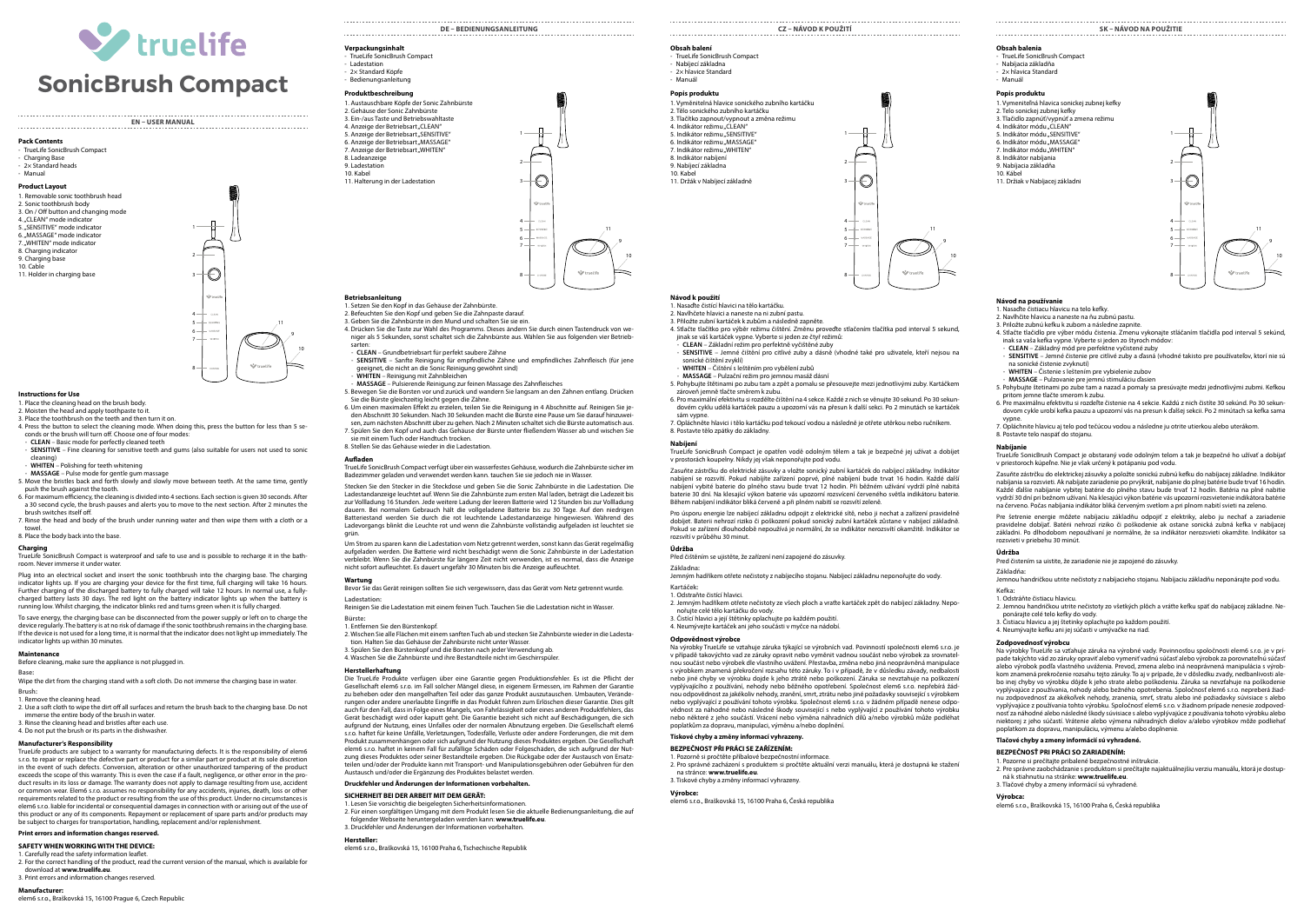

# **EN – USER MANUAL**

2

1

**Pack Contents**

### - TrueLife SonicBrush Compact - Charging Base

2× Standard heads - Manual

### **Product Layout** 1. Removable sonic toothbrush head 2. Sonic toothbrush body 3. On / Off button and changing mode 4. "CLEAN" mode indicator 5. "SENSITIVE" mode indicator 6. "MASSAGE" mode indicator . "WHITEN" mode indicator 8. Charging indicator 9. Charging base 10. Cable

11. Holder in charging base



## **Instructions for Use**

1. Place the cleaning head on the brush body.

2. Moisten the head and apply toothpaste to it.

3. Place the toothbrush on the teeth and then turn it on.

4. Press the button to select the cleaning mode. When doing this, press the button for less than 5 se-conds or the brush will turn off. Choose one of four modes:

- **CLEAN** – Basic mode for perfectly cleaned teeth - **SENSITIVE** – Fine cleaning for sensitive teeth and gums (also suitable for users not used to sonic

cleaning) - **WHITEN** – Polishing for teeth whitening

- **MASSAGE** – Pulse mode for gentle gum massage

5. Move the bristles back and forth slowly and slowly move between teeth. At the same time, gently push the brush against the tooth. 6. For maximum efficiency, the cleaning is divided into 4 sections. Each section is given 30 seconds. After

a 30 second cycle, the brush pauses and alerts you to move to the next section. After 2 minutes the brush switches itself off.

7. Rinse the head and body of the brush under running water and then wipe them with a cloth or a

towel. 8. Place the body back into the base.

### **Charging**

TrueLife SonicBrush Compact is waterproof and safe to use and is possible to recharge it in the bathroom. Never immerse it under water.

Plug into an electrical socket and insert the sonic toothbrush into the charging base. The charging indicator lights up. If you are charging your device for the first time, full charging will take 16 hours. Further charging of the discharged battery to fully charged will take 12 hours. In normal use, a fullycharged battery lasts 30 days. The red light on the battery indicator lights up when the battery is running low. Whilst charging, the indicator blinks red and turns green when it is fully charged.

To save energy, the charging base can be disconnected from the power supply or left on to charge the device regularly. The battery is at no risk of damage if the sonic toothbrush remains in the charging base. If the device is not used for a long time, it is normal that the indicator does not light up immediately. The indicator lights up within 30 minutes.

### **Maintenance**

Before cleaning, make sure the appliance is not plugged in.

**Base:** Wipe the dirt from the charging stand with a soft cloth. Do not immerse the charging base in water.

# **Brush:**

1. Remove the cleaning head. 2. Use a soft cloth to wipe the dirt off all surfaces and return the brush back to the charging base. Do not immerse the entire body of the brush in water. 3. Rinse the cleaning head and bristles after each use.

### 4. Do not put the brush or its parts in the dishwasher.

## **Manufacturer's Responsibility**

TrueLife products are subject to a warranty for manufacturing defects. It is the responsibility of elem6 s.r.o. to repair or replace the defective part or product for a similar part or product at its sole discretion in the event of such defects. Conversion, alteration or other unauthorized tampering of the product exceeds the scope of this warranty. This is even the case if a fault, negligence, or other error in the product results in its loss or damage. The warranty does not apply to damage resulting from use, accident or common wear. Elem6 s.r.o. assumes no responsibility for any accidents, injuries, death, loss or other requirements related to the product or resulting from the use of this product. Under no circumstances is elem6 s.r.o. liable for incidental or consequential damages in connection with or arising out of the use of this product or any of its components. Repayment or replacement of spare parts and/or products may be subject to charges for transportation, handling, replacement and/or replenishment.

# **Print errors and information changes reserved.**

**SAFETY WHEN WORKING WITH THE DEVICE:**

### 1. Carefully read the safety information leaflet.

2. For the correct handling of the product, read the current version of the manual, which is available for download at **www.truelife.eu**. 3. Print errors and information changes reserved

# **Manufacturer:**

elem6 s.r.o., Braškovská 15, 16100 Prague 6, Czech Republic

# **DE – Bedienungsanleitung Verpackungsinhalt**

- TrueLife SonicBrush Compact - Ladestation - 2× Standard Köpfe Bedienungsanleitung

# **Produktbeschreibung**

8. Ladeanzeige 9. Ladestation 10. Kabel

11. Halterung in der Ladestation



# **Betriebsanleitung** 1. Setzen Sie den Kopf in das Gehäuse der Zahnbürste.

2. Befeuchten Sie den Kopf und geben Sie die Zahnpaste darauf. 3. Geben Sie die Zahnbürste in den Mund und schalten Sie sie ein.

4. Drücken Sie die Taste zur Wahl des Programms. Dieses ändern Sie durch einen Tastendruck von weniger als 5 Sekunden, sonst schaltet sich die Zahnbürste aus. Wählen Sie aus folgenden vier Betrieb-

# sarten: - **CLEAN** – Grundbetriebsart für perfekt saubere Zähne

- **SENSITIVE** – Sanfte Reinigung für empfindliche Zähne und empfindliches Zahnfleisch (für jene geeignet, die nicht an die Sonic Reinigung gewöhnt sind)

- **WHITEN** – Reinigung mit Zahnbleichen

- **MASSAGE** – Pulsierende Reinigung zur feinen Massage des Zahnfleisches 5. Bewegen Sie die Borsten vor und zurück und wandern Sie langsam an den Zähnen entlang. Drücken

Sie die Bürste gleichzeitig leicht gegen die Zähne. 6. Um einen maximalen Effekt zu erzielen, teilen Sie die Reinigung in 4 Abschnitte auf. Reinigen Sie je-

den Abschnitt 30 Sekunden. Nach 30 Sekunden macht die Bürste eine Pause um Sie darauf hinzuwei-sen, zum nächsten Abschnitt über zu gehen. Nach 2 Minuten schaltet sich die Bürste automatisch aus. 7. Spülen Sie den Kopf und auch das Gehäuse der Bürste unter fließendem Wasser ab und wischen Sie sie mit einem Tuch oder Handtuch trocken. 8. Stellen Sie das Gehäuse wieder in die Ladestation.

**Aufladen** TrueLife SonicBrush Compact verfügt über ein wasserfestes Gehäuse, wodurch die Zahnbürste sicher im Badezimmer geladen und verwendet werden kann. tauchen Sie sie jedoch nie in Wasser.

Stecken Sie den Stecker in die Steckdose und geben Sie die Sonic Zahnbürste in die Ladestation. Die Ladestandanzeige leuchtet auf. Wenn Sie die Zahnbürste zum ersten Mal laden, beträgt die Ladezeit bis zur Vollladung 16 Stunden. Jede weitere Ladung der leeren Batterie wird 12 Stunden bis zur Vollladung dauern. Bei normalem Gebrauch hält die vollgeladene Batterie bis zu 30 Tage. Auf den niedrigen<br>Batteriestand werden Sie durch die rot leuchtende Ladestandanzeige hingewiesen. Während des Ladevorgangs blinkt die Leuchte rot und wenn die Zahnbürste vollständig aufgeladen ist leuchtet sie grün.

Um Strom zu sparen kann die Ladestation vom Netz getrennt werden, sonst kann das Gerät regelmäßig aufgeladen werden. Die Batterie wird nicht beschädigt wenn die Sonic Zahnbürste in der Ladestation verbleibt. Wenn Sie die Zahnbürste für längere Zeit nicht verwenden, ist es normal, dass die Anzeige nicht sofort aufleuchtet. Es dauert ungefähr 30 Minuten bis die Anzeige aufleuchtet.

### **Wartung**

Bevor Sie das Gerät reinigen sollten Sie sich vergewissern, dass das Gerät vom Netz getrennt wurde. **Ladestation:**

Reinigen Sie die Ladestation mit einem feinen Tuch. Tauchen Sie die Ladestation nicht in Wasser.

#### **Bürste:** 1. Entfernen Sie den Bürstenkopf.

2. Wischen Sie alle Flächen mit einem sanften Tuch ab und stecken Sie Zahnbürste wieder in die Ladestation. Halten Sie das Gehäuse der Zahnbürste nicht unter Wasser. 3. Spülen Sie den Bürstenkopf und die Borsten nach jeder Verwendung ab. 4. Waschen Sie die Zahnbürste und ihre Bestandteile nicht im Geschirrspüler.

# **Herstellerhaftung**

Die TrueLife Produkte verfügen über eine Garantie gegen Produktionsfehler. Es ist die Pflicht der Gesellschaft elem6 s.r.o. im Fall solcher Mängel diese, in eigenem Ermessen, im Rahmen der Garantie zu beheben oder den mangelhaften Teil oder das ganze Produkt auszutauschen. Umbauten, Veränderungen oder andere unerlaubte Eingriffe in das Produkt führen zum Erlöschen dieser Garantie. Dies gilt auch für den Fall, dass in Folge eines Mangels, von Fahrlässigkeit oder eines anderen Produktfehlers, das Gerät beschädigt wird oder kaputt geht. Die Garantie bezieht sich nicht auf Beschädigungen, die sich aufgrund der Nutzung, eines Unfalles oder der normalen Abnutzung ergeben. Die Gesellschaft elem6 s.r.o. haftet für keine Unfälle, Verletzungen, Todesfälle, Verluste oder andere Forderungen, die mit dem Produkt zusammenhängen oder sich aufgrund der Nutzung dieses Produktes ergeben. Die Gesellschaft elem6 s.r.o. haftet in keinem Fall für zufällige Schäden oder Folgeschäden, die sich aufgrund der Nutzung dieses Produktes oder seiner Bestandteile ergeben. Die Rückgabe oder der Austausch von Ersatzteilen und/oder der Produkte kann mit Transport- und Manipulationsgebühren oder Gebühren für den Austausch und/oder die Ergänzung des Produktes belastet werden.

#### **Druckfehler und Änderungen der Informationen vorbehalten.**

### **SICHERHEIT BEI DER ARBEIT MIT DEM GERÄT:**

1. Lesen Sie vorsichtig die beigelegten Sicherheitsinformationen. 2. Für einen sorgfältigen Umgang mit dem Produkt lesen Sie die aktuelle Bedienungsanleitung, die auf folgender Webseite heruntergeladen werden kann: **www.truelife.eu**. 3. Druckfehler und Änderungen der Informationen vorbehalten.

# **Hersteller:**

elem6 s.r.o., Braškovská 15, 16100 Praha 6, Tschechische Republik

# **cz – Návod k použití**

**Obsah balení** - TrueLife SonicBrush Compact - Nabíjecí základna - 2× hlavice Standard

# - Manuál

9 10

11

**Popis produktu** 1. Vyměnitelná hlavice sonického zubního kartáčku 2. Tělo sonického zubního kartáčku 3. Tlačítko zapnout/vypnout a změna režimu 4. Indikátor režimu "CLEAN" 5. Indikátor režimu. SENSITIVE 6. Indikátor režimu "MASSAGE" 7. Indikátor režimu "WHITEN" 8. Indikátor nabíjení 9. Nabíjecí základna 10. Kabel 11. Držák v Nabíjecí základně



**sk – Návod na použitie**

3

2

1

9 10

11

8

3. Priložte zubnú kefku k zubom a následne zapnite. 4. Stlačte tlačidlo pre výber módu čistenia. Zmenu vykonajte stláčaním tlačidla pod interval 5 sekúnd,

- **SENSITIVE** – Jemné čistenie pre citlivé zuby a ďasná (vhodné takisto pre používateľov, ktorí nie sú

5. Pohybujte štetinami po zube tam a nazad a pomaly sa presúvajte medzi jednotlivými zubmi. Kefkou

6. Pre maximálnu efektivitu si rozdeľte čistenie na 4 sekcie. Každú z nich čistíte 30 sekúnd. Po 30 sekundovom cykle urobí kefka pauzu a upozorní vás na presun k ďalšej sekcii. Po 2 minútach sa kefka sama

TrueLife SonicBrush Compact je obstaraný vode odolným telom a tak je bezpečné ho užívať a dobíjať

Zasuňte zástrčku do elektrickej zásuvky a položte sonickú zubnú kefku do nabíjacej základne. Indikátor nabíjania sa rozsvieti. Ak nabíjate zariadenie po prvýkrát, nabíjanie do plnej batérie bude trvať 16 hodín. Každé ďalšie nabíjanie vybitej batérie do plného stavu bude trvať 12 hodín. Batéria na plné nabitie vydrží 30 dní pri bežnom užívaní. Na klesajúci výkon batérie vás upozorní rozsvietenie indikátora batérie na červeno. Počas nabíjania indikátor bliká červeným svetlom a pri plnom nabití svieti na zeleno. Pre šetrenie energie môžete nabíjaciu základňu odpojiť z elektriky, alebo ju nechať a zariadenie pravidelne dobíjať. Batérii nehrozí riziko či poškodenie ak ostane sonická zubná kefka v nabíjacej základni. Po dlhodobom nepoužívaní je normálne, že sa indikátor nerozsvieti okamžite. Indikátor sa

Jemnou handričkou utrite nečistoty z nabíjacieho stojanu. Nabíjaciu základňu neponárajte pod vodu.

2. Jemnou handričkou utrite nečistoty zo všetkých plôch a vráťte kefku späť do nabíjacej základne. Ne-

Na výrobky TrueLife sa vzťahuje záruka na výrobné vady. Povinnosťou spoločnosti elem6 s.r.o. je v prípade takýchto vád zo záruky opraviť alebo vymeniť vadnú súčasť alebo výrobok za porovnateľnú súčasť alebo výrobok podľa vlastného uváženia. Prevod, zmena alebo iná neoprávnená manipulácia s výrob-kom znamená prekročenie rozsahu tejto záruky. To aj v prípade, že v dôsledku zvady, nedbanlivosti alebo inej chyby vo výrobku dôjde k jeho strate alebo poškodeniu. Záruka sa nevzťahuje na poškodenie vyplývajúce z používania, nehody alebo bežného opotrebenia. Spoločnosť elem6 s.r.o. nepreberá žiadnu zodpovednosť za akékoľvek nehody, zranenia, smrť, stratu alebo iné požiadavky súvisiace s alebo vyplývajúce z používania tohto výrobku. Spoločnosť elem6 s.r.o. v žiadnom prípade nenesie zodpovednosť za náhodné alebo následné škody súvisiace s alebo vyplývajúce z používania tohoto výrobku alebo niektorej z jeho súčastí. Vrátenie alebo výmena náhradných dielov a/alebo výrobkov môže podliehať

2. Pre správne zaobchádzanie s produktom si prečítajte najaktuálnejšiu verziu manuálu, ktorá je dostup-

7. Opláchnite hlavicu aj telo pod tečúcou vodou a následne ju otrite utierkou alebo uterákom.

inak sa vaša kefka vypne. Vyberte si jeden zo štyroch módov: - **CLEAN** – Základný mód pre perfektne vyčistené zuby

- **WHITEN** – Čistenie s leštením pre vybielenie zubov - **MASSAGE** – Pulzovanie pre jemnú stimuláciu ďasien

v priestoroch kúpeľne. Nie je však určený k potápaniu pod vodu.

Pred čistením sa uistite, že zariadenie nie je zapojené do zásuvky.

3. Čistiacu hlavicu a jej štetinky oplachujte po každom použití. 4. Neumývajte kefku ani jej súčasti v umývačke na riad.

poplatkom za dopravu, manipuláciu, výmenu a/alebo doplnenie. **Tlačové chyby a zmeny informácií sú vyhradené. BEZPEČNOSŤ PRI PRÁCI SO ZARIADENÍM:** 1. Pozorne si prečítajte pribalené bezpečnostné inštrukcie.

ná k stiahnutiu na stránke: **www.truelife.eu**. 3. Tlačové chyby a zmeny informácií sú vyhradené.

elem6 s.r.o., Braškovská 15, 16100 Praha 6, Česká republika

**Obsah balenia** - TrueLife SonicBrush Compact - Nabíjacia základňa - 2× hlavica Standard - Manuál **Popis produktu**

1. Vymeniteľná hlavica sonickej zubnej kefky 2. Telo sonickej zubnej kefky 3. Tlačidlo zapnúť/vypnúť a zmena režimu<br>4. Indikátor módu "CLEAN" 5. Indikátor módu. SENSITIVE 6. Indikátor módu "MASSAGE" 7. Indikátor módu "WHITEN" 8. Indikátor nabíjania 9. Nabíjacia základňa 10. Kábel

11. Držiak v Nabíjacej základni

**Návod na používanie** 1. Nasaďte čistiacu hlavicu na telo kefky. 2. Navlhčite hlavicu a naneste na ňu zubnú pastu.

vypne.

**Nabíjanie**

**Údržba**

**Základňa:**

**Výrobca:**

**Kefka:**

na sonické čistenie zvyknutí)

pritom jemne tlačte smerom k zubu.

8. Postavte telo naspäť do stojanu.

rozsvieti v priebehu 30 minút.

1. Odstráňte čistiacu hlavicu.

**Zodpovednosť výrobcu**

ponárajte celé telo kefky do vody.

**Návod k použití** 1. Nasaďte čistící hlavici na tělo kartáčku.

2. Navlhčete hlavici a naneste na ni zubní pastu. 3. Přiložte zubní kartáček k zubům a následně zapněte.

4. Stlačte tlačítko pro výběr režimu čištění. Změnu proveďte stlačením tlačítka pod interval 5 sekund, jinak se váš kartáček vypne. Vyberte si jeden ze čtyř režimů: - **CLEAN** – Základní režim pro perfektně vyčištěné zuby

- **SENSITIVE** Jemné čištění pro citlivé zuby a dásně (vhodné také pro uživatele, kteří nejsou na sonické čištění zvyklí)
- **WHITEN** Čištění s leštěním pro vybělení zubů
- **MASSAGE** Pulzační režim pro jemnou masáž dásní

5. Pohybujte štětinami po zubu tam a zpět a pomalu se přesouvejte mezi jednotlivými zuby. Kartáčkem zároveň jemně tlačte směrem k zubu. 6. Pro maximální efektivitu si rozdělte čištění na 4 sekce. Každé z nich se věnujte 30 sekund. Po 30 sekun-

dovém cyklu udělá kartáček pauzu a upozorní vás na přesun k další sekci. Po 2 minutách se kartáček sám vypne.

7. Opláchněte hlavici i tělo kartáčku pod tekoucí vodou a následně je otřete utěrkou nebo ručníkem. 8. Postavte tělo zpátky do základny.

# **Nabíjení**

TrueLife SonicBrush Compact je opatřen vodě odolným tělem a tak je bezpečné jej užívat a dobíjet v prostorách koupelny. Nikdy jej však neponořujte pod vodu.

Zasuňte zástrčku do elektrické zásuvky a vložte sonický zubní kartáček do nabíjecí základny. Indikátor nabíjení se rozsvítí. Pokud nabíjíte zařízení poprvé, plné nabíjení bude trvat 16 hodin. Každé další nabíjení vybité baterie do plného stavu bude trvat 12 hodin. Při běžném užívání vydrží plně nabitá baterie 30 dní. Na klesající výkon baterie vás upozorní rozsvícení červeného světla indikátoru baterie. Během nabíjení indikátor bliká červeně a při plném nabití se rozsvítí zeleně.

Pro úsporu energie lze nabíjecí základnu odpojit z elektrické sítě, nebo ji nechat a zařízení pravidelně dobíjet. Baterii nehrozí riziko či poškození pokud sonický zubní kartáček zůstane v nabíjecí základně. Pokud se zařízení dlouhodobě nepoužívá je normální, že se indikátor nerozsvítí okamžitě. Indikátor se rozsvítí v průběhu 30 minut.

### **Údržba**

Před čištěním se ujistěte, že zařízení není zapojené do zásuvky. **Základna:**

Jemným hadříkem otřete nečistoty z nabíjecího stojanu. Nabíjecí základnu neponořujte do vody.

# **Kartáček:**

1. Odstraňte čistící hlavici. 2. Jemným hadříkem otřete nečistoty ze všech ploch a vraťte kartáček zpět do nabíjecí základny. Nepo-

nořujte celé tělo kartáčku do vody. 3. Čistící hlavici a její štětinky oplachujte po každém použití.

4. Neumývejte kartáček ani jeho součásti v myčce na nádob

elem6 s.r.o., Braškovská 15, 16100 Praha 6, Česká republika

## **Odpovědnost výrobce**

Na výrobky TrueLife se vztahuje záruka týkající se výrobních vad. Povinností společnosti elem6 s.r.o. je v případě takovýchto vad ze záruky opravit nebo vyměnit vadnou součást nebo výrobek za srovnate nou součást nebo výrobek dle vlastního uvážení. Přestavba, změna nebo jiná neoprávněná manipulace s výrobkem znamená překročení rozsahu této záruky. To i v případě, že v důsledku závady, nedbalosti nebo jiné chyby ve výrobku dojde k jeho ztrátě nebo poškození. Záruka se nevztahuje na poškození vyplývajícího z používání, nehody nebo běžného opotřebení. Společnost elem6 s.r.o. nepřebírá žádnou odpovědnost za jakékoliv nehody, zranění, smrt, ztrátu nebo jiné požadavky související s výrobkem nebo vyplývající z používání tohoto výrobku. Společnost elem6 s.r.o. v žádném případě nenese odpovědnost za náhodné nebo následné škody související s nebo vyplývající z používání tohoto výrobku nebo některé z jeho součástí. Vrácení nebo výměna náhradních dílů a/nebo výrobků může podléhat poplatkům za dopravu, manipulaci, výměnu a/nebo doplnění.

# **Tiskové chyby a změny informací vyhrazeny.**

## **BEZPEČNOST PŘI PRÁCI SE ZAŘÍZENÍM:**

1. Pozorně si pročtěte příbalové bezpečnostní informace. 2. Pro správné zacházení s produktem si pročtěte aktuální verzi manuálu, která je dostupná ke stažení na stránce: **www.truelife.eu**.

## 3. Tiskové chyby a změny informací vyhrazeny. **Výrobce:**